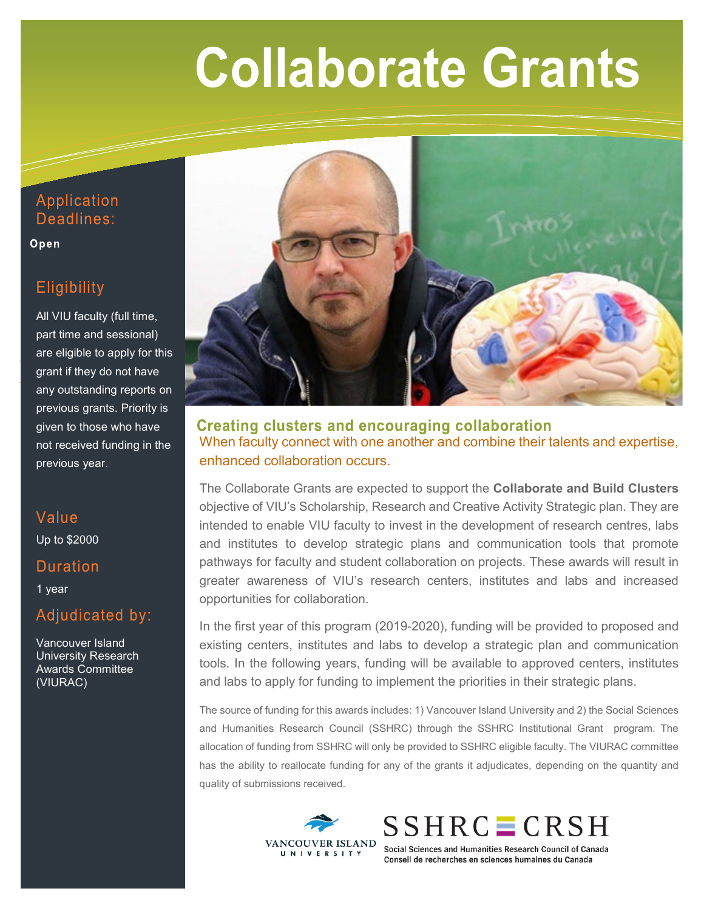# **Collaborate Collaborate Collaborate Grants**

## Application Deadlines:

Open

# Eligibility

All VIU faculty (full time, part time and sessional) are eligible to apply for this grant if they do not have any outstanding reports on previous grants. Priority is given to those who have not received funding in the previous year.

## Value Up to \$2000

## **Duration**

1 year

## Adjudicated by:

Vancouver Island University Research Awards Committee (VIURAC)



**Creating clusters and encouraging collaboration** When faculty connect with one another and combine their talents and expertise, enhanced collaboration occurs.

The Collaborate Grants are expected to support the **Collaborate and Build Clusters** objective of VIU's Scholarship, Research and Creative Activity Strategic plan. They are intended to enable VIU faculty to invest in the development of research centres, labs and institutes to develop strategic plans and communication tools that promote pathways for faculty and student collaboration on projects. These awards will result in greater awareness of VIU's research centers, institutes and labs and increased opportunities for collaboration.

In the first year of this program (2019-2020), funding will be provided to proposed and existing centers, institutes and labs to develop a strategic plan and communication tools. In the following years, funding will be available to approved centers, institutes and labs to apply for funding to implement the priorities in their strategic plans.

The source of funding for this awards includes: 1) Vancouver Island University and 2) the Social Sciences and Humanities Research Council (SSHRC) through the SSHRC Institutional Grant program. The allocation of funding from SSHRC will only be provided to SSHRC eligible faculty. The VIURAC committee has the ability to reallocate funding for any of the grants it adjudicates, depending on the quantity and quality of submissions received.





Social Sciences and Humanities Research Council of Canada Conseil de recherches en sciences humaines du Canada